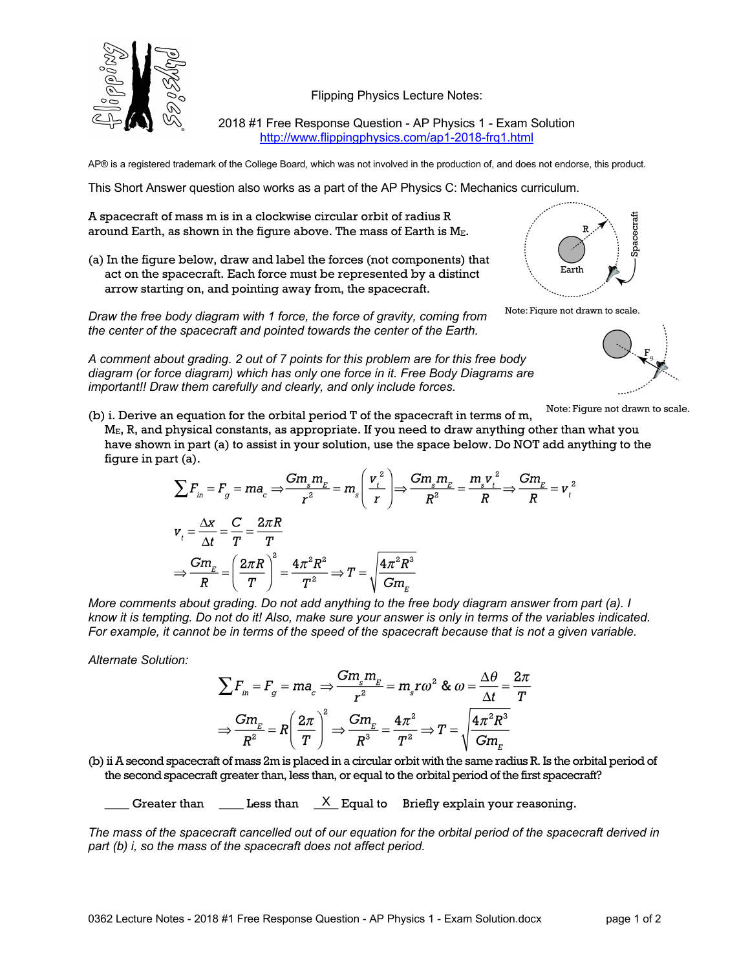

Flipping Physics Lecture Notes:

2018 #1 Free Response Question - AP Physics 1 - Exam Solution http://www.flippingphysics.com/ap1-2018-frq1.html

AP® is a registered trademark of the College Board, which was not involved in the production of, and does not endorse, this product.

This Short Answer question also works as a part of the AP Physics C: Mechanics curriculum.

A spacecraft of mass m is in a clockwise circular orbit of radius R around Earth, as shown in the figure above. The mass of Earth is ME.

(a) In the figure below, draw and label the forces (not components) that act on the spacecraft. Each force must be represented by a distinct arrow starting on, and pointing away from, the spacecraft.

*Draw the free body diagram with 1 force, the force of gravity, coming from the center of the spacecraft and pointed towards the center of the Earth.*

*A comment about grading. 2 out of 7 points for this problem are for this free body diagram (or force diagram) which has only one force in it. Free Body Diagrams are important!! Draw them carefully and clearly, and only include forces.*



Note: Figure not drawn to scale.



Note: Figure not drawn to scale.

(b) i. Derive an equation for the orbital period T of the spacecraft in terms of m, ME, R, and physical constants, as appropriate. If you need to draw anything other than what you have shown in part (a) to assist in your solution, use the space below. Do NOT add anything to the figure in part (a).

$$
\sum F_{in} = F_g = ma_c \Rightarrow \frac{Gm_s m_E}{r^2} = m_s \left(\frac{v_t^2}{r}\right) \Rightarrow \frac{Gm_s m_E}{R^2} = \frac{m_s v_t^2}{R} \Rightarrow \frac{Gm_E}{R} = v_t^2
$$
  

$$
v_t = \frac{\Delta x}{\Delta t} = \frac{C}{T} = \frac{2\pi R}{T}
$$

$$
\Rightarrow \frac{Gm_E}{R} = \left(\frac{2\pi R}{T}\right)^2 = \frac{4\pi^2 R^2}{T^2} \Rightarrow T = \sqrt{\frac{4\pi^2 R^3}{Gm_E}}
$$

*More comments about grading. Do not add anything to the free body diagram answer from part (a). I know it is tempting. Do not do it! Also, make sure your answer is only in terms of the variables indicated. For example, it cannot be in terms of the speed of the spacecraft because that is not a given variable.*

*Alternate Solution:*

$$
\sum F_{in} = F_g = ma_c \Rightarrow \frac{Gm_s m_E}{r^2} = m_s r \omega^2 \& \omega = \frac{\Delta \theta}{\Delta t} = \frac{2\pi}{T}
$$

$$
\Rightarrow \frac{Gm_E}{R^2} = R \left(\frac{2\pi}{T}\right)^2 \Rightarrow \frac{Gm_E}{R^3} = \frac{4\pi^2}{T^2} \Rightarrow T = \sqrt{\frac{4\pi^2 R^3}{Gm_E}}
$$

(b) ii A second spacecraft of mass 2m is placed in a circular orbit with the same radius R. Is the orbital period of the second spacecraft greater than, less than, or equal to the orbital period of the first spacecraft?

Greater than  $\mod{\mathbb{X}}$  Equal to Briefly explain your reasoning.

*The mass of the spacecraft cancelled out of our equation for the orbital period of the spacecraft derived in part (b) i, so the mass of the spacecraft does not affect period.*